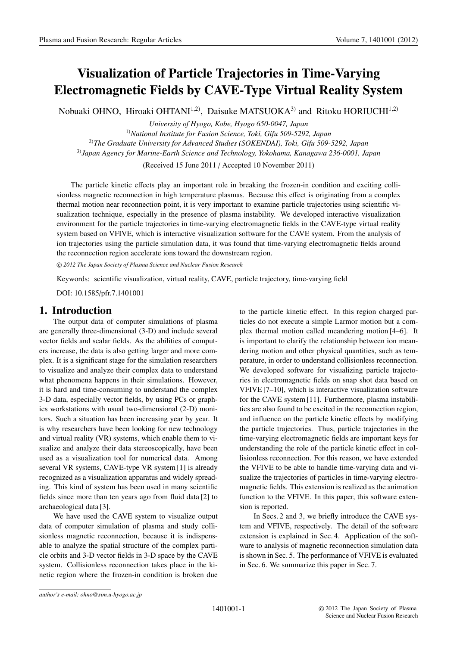# **Visualization of Particle Trajectories in Time-Varying Electromagnetic Fields by CAVE-Type Virtual Reality System**

Nobuaki OHNO, Hiroaki OHTANI<sup>1,2)</sup>, Daisuke MATSUOKA<sup>3)</sup> and Ritoku HORIUCHI<sup>1,2)</sup>

*University of Hyogo, Kobe, Hyogo 650-0047, Japan* 1)*National Institute for Fusion Science, Toki, Gifu 509-5292, Japan* 2)*The Graduate University for Advanced Studies (SOKENDAI), Toki, Gifu 509-5292, Japan* 3)*Japan Agency for Marine-Earth Science and Technology, Yokohama, Kanagawa 236-0001, Japan*

(Received 15 June 2011 / Accepted 10 November 2011)

The particle kinetic effects play an important role in breaking the frozen-in condition and exciting collisionless magnetic reconnection in high temperature plasmas. Because this effect is originating from a complex thermal motion near reconnection point, it is very important to examine particle trajectories using scientific visualization technique, especially in the presence of plasma instability. We developed interactive visualization environment for the particle trajectories in time-varying electromagnetic fields in the CAVE-type virtual reality system based on VFIVE, which is interactive visualization software for the CAVE system. From the analysis of ion trajectories using the particle simulation data, it was found that time-varying electromagnetic fields around the reconnection region accelerate ions toward the downstream region.

-c *2012 The Japan Society of Plasma Science and Nuclear Fusion Research*

Keywords: scientific visualization, virtual reality, CAVE, particle trajectory, time-varying field

DOI: 10.1585/pfr.7.1401001

## **1. Introduction**

The output data of computer simulations of plasma are generally three-dimensional (3-D) and include several vector fields and scalar fields. As the abilities of computers increase, the data is also getting larger and more complex. It is a significant stage for the simulation researchers to visualize and analyze their complex data to understand what phenomena happens in their simulations. However, it is hard and time-consuming to understand the complex 3-D data, especially vector fields, by using PCs or graphics workstations with usual two-dimensional (2-D) monitors. Such a situation has been increasing year by year. It is why researchers have been looking for new technology and virtual reality (VR) systems, which enable them to visualize and analyze their data stereoscopically, have been used as a visualization tool for numerical data. Among several VR systems, CAVE-type VR system [1] is already recognized as a visualization apparatus and widely spreading. This kind of system has been used in many scientific fields since more than ten years ago from fluid data [2] to archaeological data [3].

We have used the CAVE system to visualize output data of computer simulation of plasma and study collisionless magnetic reconnection, because it is indispensable to analyze the spatial structure of the complex particle orbits and 3-D vector fields in 3-D space by the CAVE system. Collisionless reconnection takes place in the kinetic region where the frozen-in condition is broken due to the particle kinetic effect. In this region charged particles do not execute a simple Larmor motion but a complex thermal motion called meandering motion [4–6]. It is important to clarify the relationship between ion meandering motion and other physical quantities, such as temperature, in order to understand collisionless reconnection. We developed software for visualizing particle trajectories in electromagnetic fields on snap shot data based on VFIVE [7–10], which is interactive visualization software for the CAVE system [11]. Furthermore, plasma instabilities are also found to be excited in the reconnection region, and influence on the particle kinetic effects by modifying the particle trajectories. Thus, particle trajectories in the time-varying electromagnetic fields are important keys for understanding the role of the particle kinetic effect in collisionless reconnection. For this reason, we have extended the VFIVE to be able to handle time-varying data and visualize the trajectories of particles in time-varying electromagnetic fields. This extension is realized as the animation function to the VFIVE. In this paper, this software extension is reported.

In Secs. 2 and 3, we briefly introduce the CAVE system and VFIVE, respectively. The detail of the software extension is explained in Sec. 4. Application of the software to analysis of magnetic reconnection simulation data is shown in Sec. 5. The performance of VFIVE is evaluated in Sec. 6. We summarize this paper in Sec. 7.

*author's e-mail: ohno@sim.u-hyogo.ac.jp*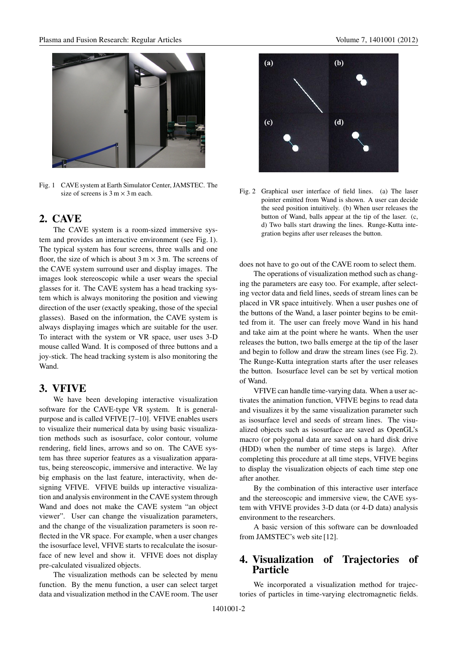

Fig. 1 CAVE system at Earth Simulator Center, JAMSTEC. The size of screens is  $3 \text{ m} \times 3 \text{ m}$  each.

## **2. CAVE**

The CAVE system is a room-sized immersive system and provides an interactive environment (see Fig. 1). The typical system has four screens, three walls and one floor, the size of which is about  $3 \text{ m} \times 3 \text{ m}$ . The screens of the CAVE system surround user and display images. The images look stereoscopic while a user wears the special glasses for it. The CAVE system has a head tracking system which is always monitoring the position and viewing direction of the user (exactly speaking, those of the special glasses). Based on the information, the CAVE system is always displaying images which are suitable for the user. To interact with the system or VR space, user uses 3-D mouse called Wand. It is composed of three buttons and a joy-stick. The head tracking system is also monitoring the Wand.

## **3. VFIVE**

We have been developing interactive visualization software for the CAVE-type VR system. It is generalpurpose and is called VFIVE [7–10]. VFIVE enables users to visualize their numerical data by using basic visualization methods such as isosurface, color contour, volume rendering, field lines, arrows and so on. The CAVE system has three superior features as a visualization apparatus, being stereoscopic, immersive and interactive. We lay big emphasis on the last feature, interactivity, when designing VFIVE. VFIVE builds up interactive visualization and analysis environment in the CAVE system through Wand and does not make the CAVE system "an object viewer". User can change the visualization parameters, and the change of the visualization parameters is soon reflected in the VR space. For example, when a user changes the isosurface level, VFIVE starts to recalculate the isosurface of new level and show it. VFIVE does not display pre-calculated visualized objects.

The visualization methods can be selected by menu function. By the menu function, a user can select target data and visualization method in the CAVE room. The user



Fig. 2 Graphical user interface of field lines. (a) The laser pointer emitted from Wand is shown. A user can decide the seed position intuitively. (b) When user releases the button of Wand, balls appear at the tip of the laser. (c, d) Two balls start drawing the lines. Runge-Kutta integration begins after user releases the button.

does not have to go out of the CAVE room to select them.

The operations of visualization method such as changing the parameters are easy too. For example, after selecting vector data and field lines, seeds of stream lines can be placed in VR space intuitively. When a user pushes one of the buttons of the Wand, a laser pointer begins to be emitted from it. The user can freely move Wand in his hand and take aim at the point where he wants. When the user releases the button, two balls emerge at the tip of the laser and begin to follow and draw the stream lines (see Fig. 2). The Runge-Kutta integration starts after the user releases the button. Isosurface level can be set by vertical motion of Wand.

VFIVE can handle time-varying data. When a user activates the animation function, VFIVE begins to read data and visualizes it by the same visualization parameter such as isosurface level and seeds of stream lines. The visualized objects such as isosurface are saved as OpenGL's macro (or polygonal data are saved on a hard disk drive (HDD) when the number of time steps is large). After completing this procedure at all time steps, VFIVE begins to display the visualization objects of each time step one after another.

By the combination of this interactive user interface and the stereoscopic and immersive view, the CAVE system with VFIVE provides 3-D data (or 4-D data) analysis environment to the researchers.

A basic version of this software can be downloaded from JAMSTEC's web site [12].

## **4. Visualization of Trajectories of Particle**

We incorporated a visualization method for trajectories of particles in time-varying electromagnetic fields.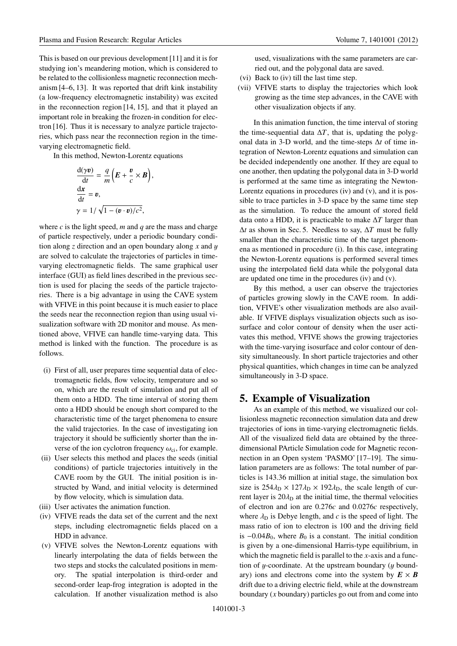This is based on our previous development [11] and it is for studying ion's meandering motion, which is considered to be related to the collisionless magnetic reconnection mechanism [4–6, 13]. It was reported that drift kink instability (a low-frequency electromagnetic instability) was excited in the reconnection region [14, 15], and that it played an important role in breaking the frozen-in condition for electron [16]. Thus it is necessary to analyze particle trajectories, which pass near the reconnection region in the timevarying electromagnetic field.

In this method, Newton-Lorentz equations

$$
\frac{d(\gamma v)}{dt} = \frac{q}{m} \left( E + \frac{v}{c} \times B \right),
$$
  
\n
$$
\frac{dx}{dt} = v,
$$
  
\n
$$
\gamma = 1 / \sqrt{1 - (v \cdot v) / c^2},
$$

where  $c$  is the light speed,  $m$  and  $q$  are the mass and charge of particle respectively, under a periodic boundary condition along *z* direction and an open boundary along *x* and y are solved to calculate the trajectories of particles in timevarying electromagnetic fields. The same graphical user interface (GUI) as field lines described in the previous section is used for placing the seeds of the particle trajectories. There is a big advantage in using the CAVE system with VFIVE in this point because it is much easier to place the seeds near the reconnection region than using usual visualization software with 2D monitor and mouse. As mentioned above, VFIVE can handle time-varying data. This method is linked with the function. The procedure is as follows.

- (i) First of all, user prepares time sequential data of electromagnetic fields, flow velocity, temperature and so on, which are the result of simulation and put all of them onto a HDD. The time interval of storing them onto a HDD should be enough short compared to the characteristic time of the target phenomena to ensure the valid trajectories. In the case of investigating ion trajectory it should be sufficiently shorter than the inverse of the ion cyclotron frequency  $\omega_{ci}$ , for example.
- (ii) User selects this method and places the seeds (initial conditions) of particle trajectories intuitively in the CAVE room by the GUI. The initial position is instructed by Wand, and initial velocity is determined by flow velocity, which is simulation data.
- (iii) User activates the animation function.
- (iv) VFIVE reads the data set of the current and the next steps, including electromagnetic fields placed on a HDD in advance.
- (v) VFIVE solves the Newton-Lorentz equations with linearly interpolating the data of fields between the two steps and stocks the calculated positions in memory. The spatial interpolation is third-order and second-order leap-frog integration is adopted in the calculation. If another visualization method is also

used, visualizations with the same parameters are carried out, and the polygonal data are saved.

- (vi) Back to (iv) till the last time step.
- (vii) VFIVE starts to display the trajectories which look growing as the time step advances, in the CAVE with other visualization objects if any.

In this animation function, the time interval of storing the time-sequential data  $\Delta T$ , that is, updating the polygonal data in 3-D world, and the time-steps Δ*t* of time integration of Newton-Lorentz equations and simulation can be decided independently one another. If they are equal to one another, then updating the polygonal data in 3-D world is performed at the same time as integrating the Newton-Lorentz equations in procedures (iv) and (v), and it is possible to trace particles in 3-D space by the same time step as the simulation. To reduce the amount of stored field data onto a HDD, it is practicable to make Δ*T* larger than Δ*t* as shown in Sec. 5. Needless to say, Δ*T* must be fully smaller than the characteristic time of the target phenomena as mentioned in procedure (i). In this case, integrating the Newton-Lorentz equations is performed several times using the interpolated field data while the polygonal data are updated one time in the procedures (iv) and (v).

By this method, a user can observe the trajectories of particles growing slowly in the CAVE room. In addition, VFIVE's other visualization methods are also available. If VFIVE displays visualization objects such as isosurface and color contour of density when the user activates this method, VFIVE shows the growing trajectories with the time-varying isosurface and color contour of density simultaneously. In short particle trajectories and other physical quantities, which changes in time can be analyzed simultaneously in 3-D space.

## **5. Example of Visualization**

As an example of this method, we visualized our collisionless magnetic reconnection simulation data and drew trajectories of ions in time-varying electromagnetic fields. All of the visualized field data are obtained by the threedimensional PArticle Simulation code for Magnetic reconnection in an Open system 'PASMO' [17–19]. The simulation parameters are as follows: The total number of particles is 143.36 million at initial stage, the simulation box size is  $254\lambda_D \times 127\lambda_D \times 192\lambda_D$ , the scale length of current layer is  $20\lambda_D$  at the initial time, the thermal velocities of electron and ion are 0.276*c* and 0.0276*c* respectively, where  $\lambda_D$  is Debye length, and *c* is the speed of light. The mass ratio of ion to electron is 100 and the driving field is  $-0.04B_0$ , where  $B_0$  is a constant. The initial condition is given by a one-dimensional Harris-type equilibrium, in which the magnetic field is parallel to the *x*-axis and a function of  $y$ -coordinate. At the upstream boundary ( $y$  boundary) ions and electrons come into the system by  $E \times B$ drift due to a driving electric field, while at the downstream boundary (*x* boundary) particles go out from and come into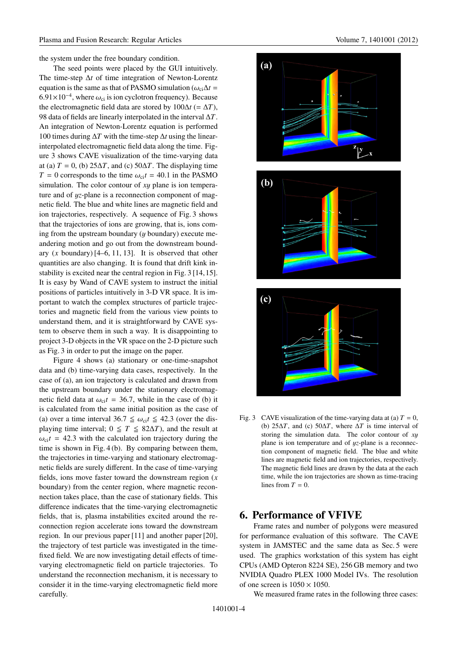the system under the free boundary condition.

The seed points were placed by the GUI intuitively. The time-step Δ*t* of time integration of Newton-Lorentz equation is the same as that of PASMO simulation ( $\omega_{ci}\Delta t$  = 6.91×10<sup>-4</sup>, where  $\omega_{ci}$  is ion cyclotron frequency). Because the electromagnetic field data are stored by  $100\Delta t$  (=  $\Delta T$ ), 98 data of fields are linearly interpolated in the interval Δ*T*. An integration of Newton-Lorentz equation is performed 100 times during Δ*T* with the time-step Δ*t* using the linearinterpolated electromagnetic field data along the time. Figure 3 shows CAVE visualization of the time-varying data at (a)  $T = 0$ , (b)  $25\Delta T$ , and (c)  $50\Delta T$ . The displaying time  $T = 0$  corresponds to the time  $\omega_{ci}t = 40.1$  in the PASMO simulation. The color contour of *x*y plane is ion temperature and of y*z*-plane is a reconnection component of magnetic field. The blue and white lines are magnetic field and ion trajectories, respectively. A sequence of Fig. 3 shows that the trajectories of ions are growing, that is, ions coming from the upstream boundary  $(y$  boundary) execute meandering motion and go out from the downstream boundary (*x* boundary) [4–6, 11, 13]. It is observed that other quantities are also changing. It is found that drift kink instability is excited near the central region in Fig. 3 [14, 15]. It is easy by Wand of CAVE system to instruct the initial positions of particles intuitively in 3-D VR space. It is important to watch the complex structures of particle trajectories and magnetic field from the various view points to understand them, and it is straightforward by CAVE system to observe them in such a way. It is disappointing to project 3-D objects in the VR space on the 2-D picture such as Fig. 3 in order to put the image on the paper.

Figure 4 shows (a) stationary or one-time-snapshot data and (b) time-varying data cases, respectively. In the case of (a), an ion trajectory is calculated and drawn from the upstream boundary under the stationary electromagnetic field data at  $\omega_{ci}t = 36.7$ , while in the case of (b) it is calculated from the same initial position as the case of (a) over a time interval  $36.7 \le \omega_{ci} t \le 42.3$  (over the displaying time interval;  $0 \leq T \leq 82\Delta T$ ), and the result at  $\omega_{ci}t = 42.3$  with the calculated ion trajectory during the time is shown in Fig. 4 (b). By comparing between them, the trajectories in time-varying and stationary electromagnetic fields are surely different. In the case of time-varying fields, ions move faster toward the downstream region (*x* boundary) from the center region, where magnetic reconnection takes place, than the case of stationary fields. This difference indicates that the time-varying electromagnetic fields, that is, plasma instabilities excited around the reconnection region accelerate ions toward the downstream region. In our previous paper [11] and another paper [20], the trajectory of test particle was investigated in the timefixed field. We are now investigating detail effects of timevarying electromagnetic field on particle trajectories. To understand the reconnection mechanism, it is necessary to consider it in the time-varying electromagnetic field more carefully.



Fig. 3 CAVE visualization of the time-varying data at (a)  $T = 0$ , (b) 25Δ*T*, and (c) 50Δ*T*, where Δ*T* is time interval of storing the simulation data. The color contour of *x*y plane is ion temperature and of y*z*-plane is a reconnection component of magnetic field. The blue and white lines are magnetic field and ion trajectories, respectively. The magnetic field lines are drawn by the data at the each time, while the ion trajectories are shown as time-tracing lines from  $T = 0$ .

## **6. Performance of VFIVE**

Frame rates and number of polygons were measured for performance evaluation of this software. The CAVE system in JAMSTEC and the same data as Sec. 5 were used. The graphics workstation of this system has eight CPUs (AMD Opteron 8224 SE), 256 GB memory and two NVIDIA Quadro PLEX 1000 Model IVs. The resolution of one screen is  $1050 \times 1050$ .

We measured frame rates in the following three cases: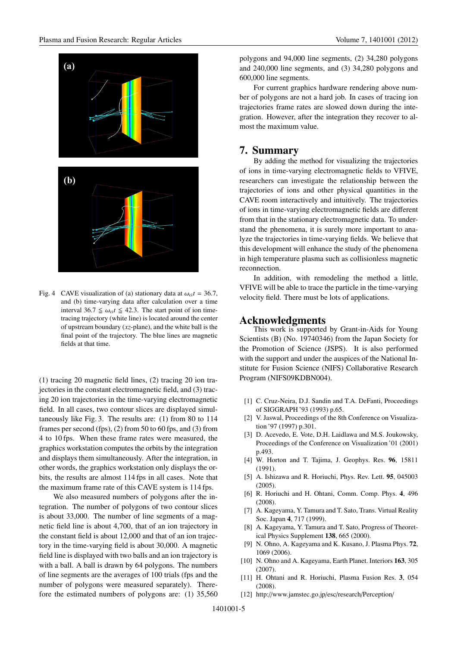

Fig. 4 CAVE visualization of (a) stationary data at  $\omega_{ci}t = 36.7$ , and (b) time-varying data after calculation over a time interval 36.7  $\leq \omega_{ci} t \leq 42.3$ . The start point of ion timetracing trajectory (white line) is located around the center of upstream boundary (*xz*-plane), and the white ball is the final point of the trajectory. The blue lines are magnetic fields at that time.

(1) tracing 20 magnetic field lines, (2) tracing 20 ion trajectories in the constant electromagnetic field, and (3) tracing 20 ion trajectories in the time-varying electromagnetic field. In all cases, two contour slices are displayed simultaneously like Fig. 3. The results are: (1) from 80 to 114 frames per second (fps), (2) from 50 to 60 fps, and (3) from 4 to 10 fps. When these frame rates were measured, the graphics workstation computes the orbits by the integration and displays them simultaneously. After the integration, in other words, the graphics workstation only displays the orbits, the results are almost 114 fps in all cases. Note that the maximum frame rate of this CAVE system is 114 fps.

We also measured numbers of polygons after the integration. The number of polygons of two contour slices is about 33,000. The number of line segments of a magnetic field line is about 4,700, that of an ion trajectory in the constant field is about 12,000 and that of an ion trajectory in the time-varying field is about 30,000. A magnetic field line is displayed with two balls and an ion trajectory is with a ball. A ball is drawn by 64 polygons. The numbers of line segments are the averages of 100 trials (fps and the number of polygons were measured separately). Therefore the estimated numbers of polygons are: (1) 35,560 polygons and 94,000 line segments, (2) 34,280 polygons and 240,000 line segments, and (3) 34,280 polygons and 600,000 line segments.

For current graphics hardware rendering above number of polygons are not a hard job. In cases of tracing ion trajectories frame rates are slowed down during the integration. However, after the integration they recover to almost the maximum value.

### **7. Summary**

By adding the method for visualizing the trajectories of ions in time-varying electromagnetic fields to VFIVE, researchers can investigate the relationship between the trajectories of ions and other physical quantities in the CAVE room interactively and intuitively. The trajectories of ions in time-varying electromagnetic fields are different from that in the stationary electromagnetic data. To understand the phenomena, it is surely more important to analyze the trajectories in time-varying fields. We believe that this development will enhance the study of the phenomena in high temperature plasma such as collisionless magnetic reconnection.

In addition, with remodeling the method a little, VFIVE will be able to trace the particle in the time-varying velocity field. There must be lots of applications.

#### **Acknowledgments**

This work is supported by Grant-in-Aids for Young Scientists (B) (No. 19740346) from the Japan Society for the Promotion of Science (JSPS). It is also performed with the support and under the auspices of the National Institute for Fusion Science (NIFS) Collaborative Research Program (NIFS09KDBN004).

- [1] C. Cruz-Neira, D.J. Sandin and T.A. DeFanti, Proceedings of SIGGRAPH '93 (1993) p.65.
- [2] V. Jaswal, Proceedings of the 8th Conference on Visualization '97 (1997) p.301.
- [3] D. Acevedo, E. Vote, D.H. Laidlawa and M.S. Joukowsky, Proceedings of the Conference on Visualization '01 (2001) p.493.
- [4] W. Horton and T. Tajima, J. Geophys. Res. **96**, 15811 (1991).
- [5] A. Ishizawa and R. Horiuchi, Phys. Rev. Lett. **95**, 045003 (2005).
- [6] R. Horiuchi and H. Ohtani, Comm. Comp. Phys. **4**, 496 (2008).
- [7] A. Kageyama, Y. Tamura and T. Sato, Trans. Virtual Reality Soc. Japan **4**, 717 (1999).
- [8] A. Kageyama, Y. Tamura and T. Sato, Progress of Theoretical Physics Supplement **138**, 665 (2000).
- [9] N. Ohno, A. Kageyama and K. Kusano, J. Plasma Phys. **72**, 1069 (2006).
- [10] N. Ohno and A. Kageyama, Earth Planet. Interiors **163**, 305 (2007).
- [11] H. Ohtani and R. Horiuchi, Plasma Fusion Res. **3**, 054 (2008).
- [12] http://www.jamstec.go.jp/esc/research/Perception/